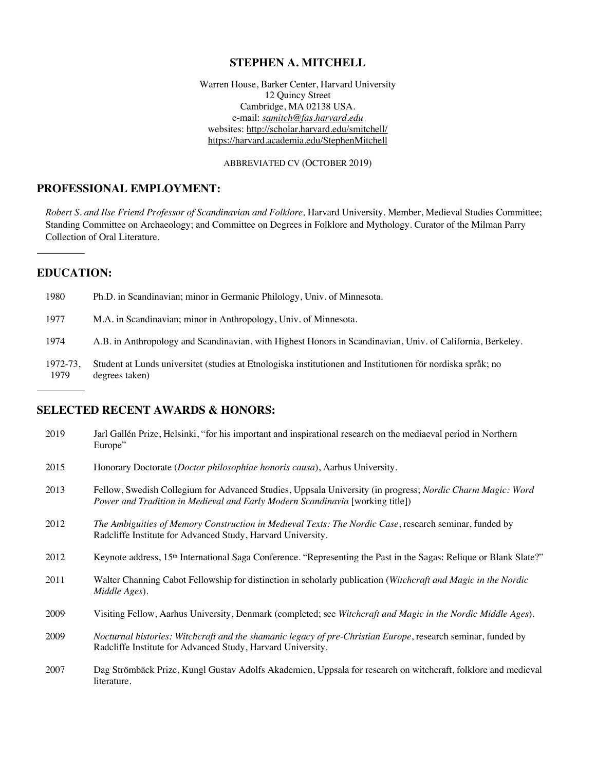#### **STEPHEN A. MITCHELL**

Warren House, Barker Center, Harvard University 12 Quincy Street Cambridge, MA 02138 USA. e-mail: *samitch@fas.harvard.edu* websites: http://scholar.harvard.edu/smitchell/ https://harvard.academia.edu/StephenMitchell

ABBREVIATED CV (OCTOBER 2019)

# **PROFESSIONAL EMPLOYMENT:**

*Robert S. and Ilse Friend Professor of Scandinavian and Folklore,* Harvard University. Member, Medieval Studies Committee; Standing Committee on Archaeology; and Committee on Degrees in Folklore and Mythology. Curator of the Milman Parry Collection of Oral Literature.

# **EDUCATION:**

| 1980 | Ph.D. in Scandinavian; minor in Germanic Philology, Univ. of Minnesota.                                    |
|------|------------------------------------------------------------------------------------------------------------|
| 1977 | M.A. in Scandinavian; minor in Anthropology, Univ. of Minnesota.                                           |
| 1974 | A.B. in Anthropology and Scandinavian, with Highest Honors in Scandinavian, Univ. of California, Berkeley. |

1972-73, Student at Lunds universitet (studies at Etnologiska institutionen and Institutionen för nordiska språk; no degrees taken)

### **SELECTED RECENT AWARDS & HONORS:**

| 2019 | Jarl Gallén Prize, Helsinki, "for his important and inspirational research on the mediaeval period in Northern<br>Europe"                                                                  |
|------|--------------------------------------------------------------------------------------------------------------------------------------------------------------------------------------------|
| 2015 | Honorary Doctorate (Doctor philosophiae honoris causa), Aarhus University.                                                                                                                 |
| 2013 | Fellow, Swedish Collegium for Advanced Studies, Uppsala University (in progress; Nordic Charm Magic: Word<br>Power and Tradition in Medieval and Early Modern Scandinavia [working title]) |
| 2012 | The Ambiguities of Memory Construction in Medieval Texts: The Nordic Case, research seminar, funded by<br>Radcliffe Institute for Advanced Study, Harvard University.                      |
| 2012 | Keynote address, 15 <sup>th</sup> International Saga Conference. "Representing the Past in the Sagas: Relique or Blank Slate?"                                                             |
| 2011 | Walter Channing Cabot Fellowship for distinction in scholarly publication (Witchcraft and Magic in the Nordic<br>Middle Ages).                                                             |
| 2009 | Visiting Fellow, Aarhus University, Denmark (completed; see Witchcraft and Magic in the Nordic Middle Ages).                                                                               |
| 2009 | Nocturnal histories: Witchcraft and the shamanic legacy of pre-Christian Europe, research seminar, funded by<br>Radcliffe Institute for Advanced Study, Harvard University.                |
| 2007 | Dag Strömbäck Prize, Kungl Gustav Adolfs Akademien, Uppsala for research on witchcraft, folklore and medieval<br>literature.                                                               |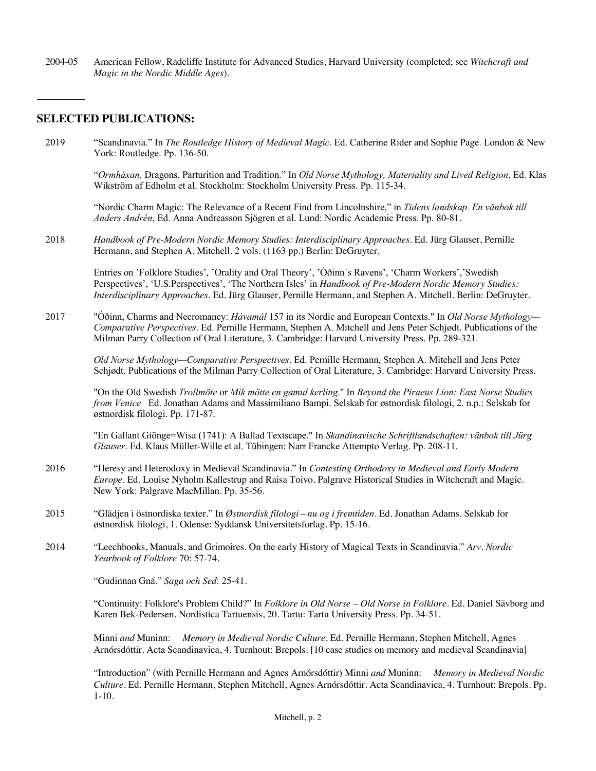2004-05 American Fellow, Radcliffe Institute for Advanced Studies, Harvard University (completed; see *Witchcraft and Magic in the Nordic Middle Ages*).

### **SELECTED PUBLICATIONS:**

2019 "Scandinavia." In *The Routledge History of Medieval Magic*. Ed. Catherine Rider and Sophie Page. London & New York: Routledge. Pp. 136-50.

"*Ormhäxan,* Dragons, Parturition and Tradition." In *Old Norse Mythology, Materiality and Lived Religion*, Ed. Klas Wikström af Edholm et al. Stockholm: Stockholm University Press. Pp. 115-34.

"Nordic Charm Magic: The Relevance of a Recent Find from Lincolnshire," in *Tidens landskap. En vänbok till Anders Andrén*, Ed. Anna Andreasson Sjögren et al. Lund: Nordic Academic Press. Pp. 80-81.

2018 *Handbook of Pre-Modern Nordic Memory Studies: Interdisciplinary Approaches.* Ed. Jürg Glauser, Pernille Hermann, and Stephen A. Mitchell. 2 vols. (1163 pp.) Berlin: DeGruyter.

Entries on 'Folklore Studies', 'Orality and Oral Theory', 'Óðinn´s Ravens', 'Charm Workers','Swedish Perspectives', 'U.S.Perspectives', 'The Northern Isles' in *Handbook of Pre-Modern Nordic Memory Studies: Interdisciplinary Approaches.* Ed. Jürg Glauser, Pernille Hermann, and Stephen A. Mitchell. Berlin: DeGruyter.

2017 "Óðinn, Charms and Necromancy: *Hávamál* 157 in its Nordic and European Contexts." In *Old Norse Mythology— Comparative Perspectives*. Ed. Pernille Hermann, Stephen A. Mitchell and Jens Peter Schjødt. Publications of the Milman Parry Collection of Oral Literature, 3. Cambridge: Harvard University Press. Pp. 289-321.

*Old Norse Mythology—Comparative Perspectives*. Ed. Pernille Hermann, Stephen A. Mitchell and Jens Peter Schjødt. Publications of the Milman Parry Collection of Oral Literature, 3. Cambridge: Harvard University Press.

"On the Old Swedish *Trollmöte* or *Mik mötte en gamul kerling*." In *Beyond the Piraeus Lion: East Norse Studies from Venice* Ed. Jonathan Adams and Massimiliano Bampi. Selskab for østnordisk filologi, 2. n.p.: Selskab for østnordisk filologi. Pp. 171-87.

"En Gallant Giönge=Wisa (1741): A Ballad Textscape." In *Skandinavische Schriftlandschaften: vänbok till Jürg Glauser*. Ed. Klaus Müller-Wille et al. Tübingen: Narr Francke Attempto Verlag. Pp. 208-11.

- 2016 "Heresy and Heterodoxy in Medieval Scandinavia." In *Contesting Orthodoxy in Medieval and Early Modern Europe*. Ed. Louise Nyholm Kallestrup and Raisa Toivo. Palgrave Historical Studies in Witchcraft and Magic. New York: Palgrave MacMillan. Pp. 35-56.
- 2015 "Glädjen i östnordiska texter." In *Østnordisk filologi—nu og i fremtiden*. Ed. Jonathan Adams. Selskab for østnordisk filologi, 1. Odense: Syddansk Universitetsforlag. Pp. 15-16.
- 2014 "Leechbooks, Manuals, and Grimoires. On the early History of Magical Texts in Scandinavia." *Arv. Nordic Yearbook of Folklore* 70: 57-74.

"Gudinnan Gná." *Saga och Sed*: 25-41.

"Continuity: Folklore's Problem Child?" In *Folklore in Old Norse – Old Norse in Folklore.* Ed. Daniel Sävborg and Karen Bek-Pedersen. Nordistica Tartuensis, 20. Tartu: Tartu University Press. Pp. 34-51.

Minni *and* Muninn: *Memory in Medieval Nordic Culture.* Ed. Pernille Hermann, Stephen Mitchell, Agnes Arnórsdóttir. Acta Scandinavica, 4. Turnhout: Brepols. [10 case studies on memory and medieval Scandinavia]

"Introduction" (with Pernille Hermann and Agnes Arnórsdóttir) Minni *and* Muninn: *Memory in Medieval Nordic Culture.* Ed. Pernille Hermann, Stephen Mitchell, Agnes Arnórsdóttir. Acta Scandinavica, 4. Turnhout: Brepols. Pp. 1-10.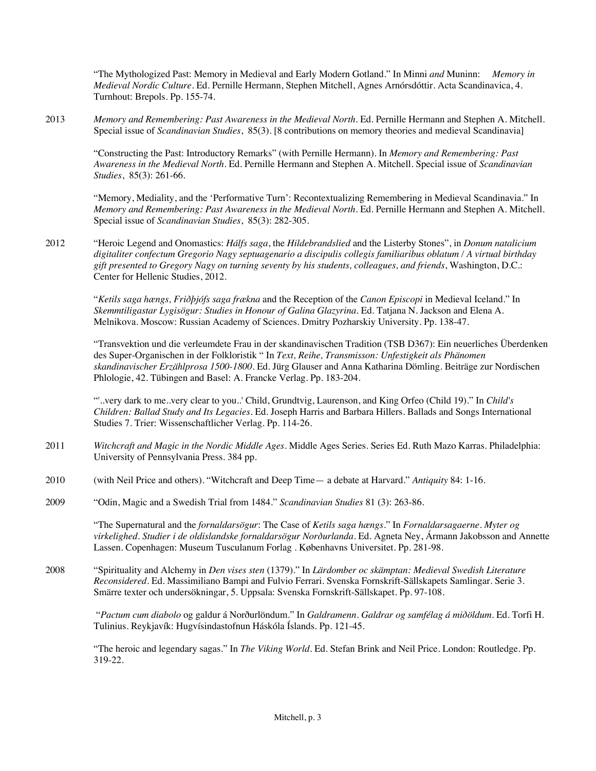"The Mythologized Past: Memory in Medieval and Early Modern Gotland." In Minni *and* Muninn: *Memory in Medieval Nordic Culture.* Ed. Pernille Hermann, Stephen Mitchell, Agnes Arnórsdóttir. Acta Scandinavica, 4. Turnhout: Brepols. Pp. 155-74.

2013 *Memory and Remembering: Past Awareness in the Medieval North*. Ed. Pernille Hermann and Stephen A. Mitchell. Special issue of *Scandinavian Studies*, 85(3). [8 contributions on memory theories and medieval Scandinavia]

"Constructing the Past: Introductory Remarks" (with Pernille Hermann). In *Memory and Remembering: Past Awareness in the Medieval North*. Ed. Pernille Hermann and Stephen A. Mitchell. Special issue of *Scandinavian Studies*, 85(3): 261-66.

"Memory, Mediality, and the 'Performative Turn': Recontextualizing Remembering in Medieval Scandinavia." In *Memory and Remembering: Past Awareness in the Medieval North*. Ed. Pernille Hermann and Stephen A. Mitchell. Special issue of *Scandinavian Studies*, 85(3): 282-305.

2012 "Heroic Legend and Onomastics: *Hálfs saga*, the *Hildebrandslied* and the Listerby Stones", in *Donum natalicium digitaliter confectum Gregorio Nagy septuagenario a discipulis collegis familiaribus oblatum / A virtual birthday gift presented to Gregory Nagy on turning seventy by his students, colleagues, and friends*, Washington, D.C.: Center for Hellenic Studies, 2012.

"*Ketils saga hængs, Friðþjófs saga frækna* and the Reception of the *Canon Episcopi* in Medieval Iceland." In *Skemmtiligastar Lygisögur: Studies in Honour of Galina Glazyrina*. Ed. Tatjana N. Jackson and Elena A. Melnikova. Moscow: Russian Academy of Sciences. Dmitry Pozharskiy University. Pp. 138-47.

"Transvektion und die verleumdete Frau in der skandinavischen Tradition (TSB D367): Ein neuerliches Überdenken des Super-Organischen in der Folkloristik " In *Text, Reihe, Transmisson: Unfestigkeit als Phänomen skandinavischer Erzählprosa 1500-1800.* Ed. Jürg Glauser and Anna Katharina Dömling. Beiträge zur Nordischen Phlologie, 42. Tübingen and Basel: A. Francke Verlag. Pp. 183-204.

"'..very dark to me..very clear to you..' Child, Grundtvig, Laurenson, and King Orfeo (Child 19)." In *Child's Children: Ballad Study and Its Legacies*. Ed. Joseph Harris and Barbara Hillers. Ballads and Songs International Studies 7. Trier: Wissenschaftlicher Verlag. Pp. 114-26.

- 2011 *Witchcraft and Magic in the Nordic Middle Ages.* Middle Ages Series. Series Ed. Ruth Mazo Karras. Philadelphia: University of Pennsylvania Press. 384 pp.
- 2010 (with Neil Price and others). "Witchcraft and Deep Time— a debate at Harvard." *Antiquity* 84: 1-16.
- 2009 "Odin, Magic and a Swedish Trial from 1484." *Scandinavian Studies* 81 (3): 263-86.

"The Supernatural and the *fornaldarsögur*: The Case of *Ketils saga hængs*." In *Fornaldarsagaerne. Myter og virkelighed. Studier i de oldislandske fornaldarsögur Norðurlanda.* Ed. Agneta Ney, Ármann Jakobsson and Annette Lassen. Copenhagen: Museum Tusculanum Forlag . Københavns Universitet. Pp. 281-98.

2008 "Spirituality and Alchemy in *Den vises sten* (1379)." In *Lärdomber oc skämptan: Medieval Swedish Literature Reconsidered.* Ed. Massimiliano Bampi and Fulvio Ferrari. Svenska Fornskrift-Sällskapets Samlingar. Serie 3. Smärre texter och undersökningar, 5. Uppsala: Svenska Fornskrift-Sällskapet. Pp. 97-108.

"*Pactum cum diabolo* og galdur á Norðurlöndum." In *Galdramenn. Galdrar og samfélag á miðöldum*. Ed. Torfi H. Tulinius. Reykjavík: Hugvísindastofnun Háskóla Íslands. Pp. 121-45.

"The heroic and legendary sagas." In *The Viking World.* Ed. Stefan Brink and Neil Price. London: Routledge. Pp. 319-22.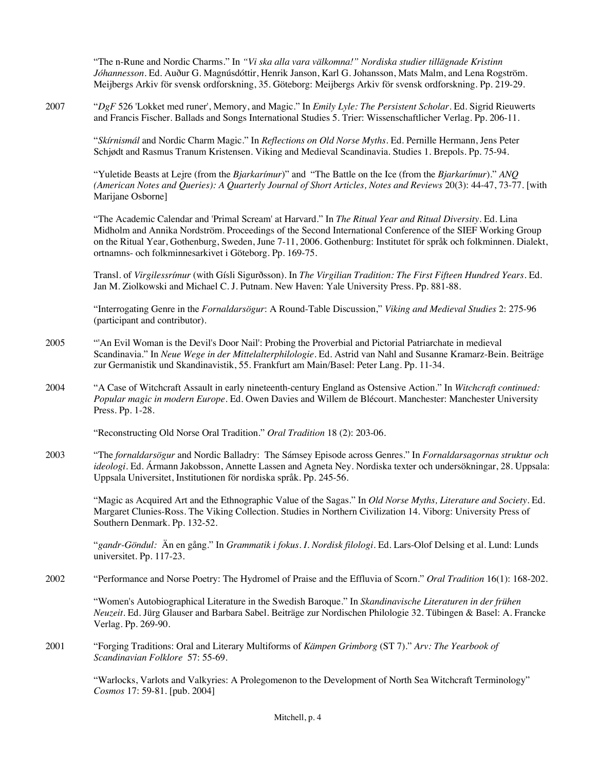"The n-Rune and Nordic Charms." In *"Vi ska alla vara välkomna!" Nordiska studier tillägnade Kristinn Jóhannesson.* Ed. Auður G. Magnúsdóttir, Henrik Janson, Karl G. Johansson, Mats Malm, and Lena Rogström. Meijbergs Arkiv för svensk ordforskning, 35. Göteborg: Meijbergs Arkiv för svensk ordforskning. Pp. 219-29.

2007 "*DgF* 526 'Lokket med runer', Memory, and Magic." In *Emily Lyle: The Persistent Scholar*. Ed. Sigrid Rieuwerts and Francis Fischer. Ballads and Songs International Studies 5. Trier: Wissenschaftlicher Verlag. Pp. 206-11.

"*Skírnismál* and Nordic Charm Magic." In *Reflections on Old Norse Myths*. Ed. Pernille Hermann, Jens Peter Schjødt and Rasmus Tranum Kristensen. Viking and Medieval Scandinavia. Studies 1. Brepols. Pp. 75-94.

"Yuletide Beasts at Lejre (from the *Bjarkarímur*)" and "The Battle on the Ice (from the *Bjarkarímur*)." *ANQ (American Notes and Queries): A Quarterly Journal of Short Articles, Notes and Reviews* 20(3): 44-47, 73-77. [with Marijane Osborne]

"The Academic Calendar and 'Primal Scream' at Harvard." In *The Ritual Year and Ritual Diversity*. Ed. Lina Midholm and Annika Nordström. Proceedings of the Second International Conference of the SIEF Working Group on the Ritual Year, Gothenburg, Sweden, June 7-11, 2006. Gothenburg: Institutet för språk och folkminnen. Dialekt, ortnamns- och folkminnesarkivet i Göteborg. Pp. 169-75.

Transl. of *Virgilessrímur* (with Gísli Sigurðsson). In *The Virgilian Tradition: The First Fifteen Hundred Years.* Ed. Jan M. Ziolkowski and Michael C. J. Putnam. New Haven: Yale University Press. Pp. 881-88.

"Interrogating Genre in the *Fornaldarsögur*: A Round-Table Discussion," *Viking and Medieval Studies* 2: 275-96 (participant and contributor).

- 2005 "'An Evil Woman is the Devil's Door Nail': Probing the Proverbial and Pictorial Patriarchate in medieval Scandinavia." In *Neue Wege in der Mittelalterphilologie.* Ed. Astrid van Nahl and Susanne Kramarz-Bein. Beiträge zur Germanistik und Skandinavistik, 55. Frankfurt am Main/Basel: Peter Lang. Pp. 11-34.
- 2004 "A Case of Witchcraft Assault in early nineteenth-century England as Ostensive Action." In *Witchcraft continued: Popular magic in modern Europe.* Ed. Owen Davies and Willem de Blécourt. Manchester: Manchester University Press. Pp. 1-28.

"Reconstructing Old Norse Oral Tradition." *Oral Tradition* 18 (2): 203-06.

2003 "The *fornaldarsögur* and Nordic Balladry: The Sámsey Episode across Genres." In *Fornaldarsagornas struktur och ideologi*. Ed. Ármann Jakobsson, Annette Lassen and Agneta Ney. Nordiska texter och undersökningar, 28. Uppsala: Uppsala Universitet, Institutionen för nordiska språk. Pp. 245-56.

"Magic as Acquired Art and the Ethnographic Value of the Sagas." In *Old Norse Myths, Literature and Society.* Ed. Margaret Clunies-Ross. The Viking Collection. Studies in Northern Civilization 14. Viborg: University Press of Southern Denmark. Pp. 132-52.

"*gandr-Göndul:* Än en gång." In *Grammatik i fokus. I. Nordisk filologi.* Ed. Lars-Olof Delsing et al. Lund: Lunds universitet. Pp. 117-23.

2002 "Performance and Norse Poetry: The Hydromel of Praise and the Effluvia of Scorn." *Oral Tradition* 16(1): 168-202.

"Women's Autobiographical Literature in the Swedish Baroque." In *Skandinavische Literaturen in der frühen Neuzeit.* Ed. Jürg Glauser and Barbara Sabel. Beiträge zur Nordischen Philologie 32. Tübingen & Basel: A. Francke Verlag. Pp. 269-90.

2001 "Forging Traditions: Oral and Literary Multiforms of *Kämpen Grimborg* (ST 7)." *Arv: The Yearbook of Scandinavian Folklore* 57: 55-69.

> "Warlocks, Varlots and Valkyries: A Prolegomenon to the Development of North Sea Witchcraft Terminology" *Cosmos* 17: 59-81. [pub. 2004]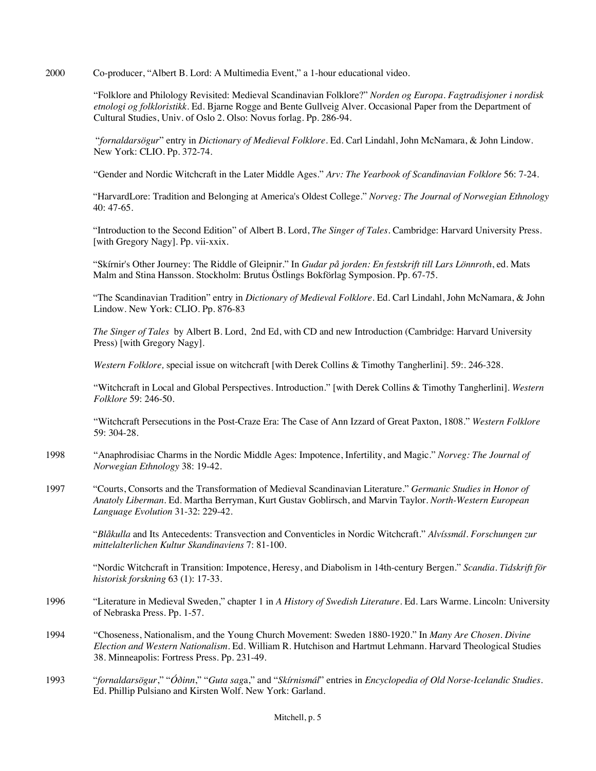2000 Co-producer, "Albert B. Lord: A Multimedia Event," a 1-hour educational video.

"Folklore and Philology Revisited: Medieval Scandinavian Folklore?" *Norden og Europa. Fagtradisjoner i nordisk etnologi og folkloristikk.* Ed. Bjarne Rogge and Bente Gullveig Alver. Occasional Paper from the Department of Cultural Studies, Univ. of Oslo 2. Olso: Novus forlag. Pp. 286-94.

"*fornaldarsögur*" entry in *Dictionary of Medieval Folklore.* Ed. Carl Lindahl, John McNamara, & John Lindow. New York: CLIO. Pp. 372-74.

"Gender and Nordic Witchcraft in the Later Middle Ages." *Arv: The Yearbook of Scandinavian Folklore* 56: 7-24*.*

"HarvardLore: Tradition and Belonging at America's Oldest College." *Norveg: The Journal of Norwegian Ethnology*  40: 47-65.

"Introduction to the Second Edition" of Albert B. Lord, *The Singer of Tales*. Cambridge: Harvard University Press. [with Gregory Nagy]. Pp. vii-xxix.

"Skírnir's Other Journey: The Riddle of Gleipnir." In *Gudar på jorden: En festskrift till Lars Lönnroth*, ed. Mats Malm and Stina Hansson. Stockholm: Brutus Östlings Bokförlag Symposion. Pp. 67-75.

"The Scandinavian Tradition" entry in *Dictionary of Medieval Folklore.* Ed. Carl Lindahl, John McNamara, & John Lindow. New York: CLIO. Pp. 876-83

*The Singer of Tales* by Albert B. Lord, 2nd Ed, with CD and new Introduction (Cambridge: Harvard University Press) [with Gregory Nagy].

*Western Folklore,* special issue on witchcraft [with Derek Collins & Timothy Tangherlini]. 59:. 246-328.

"Witchcraft in Local and Global Perspectives. Introduction." [with Derek Collins & Timothy Tangherlini]. *Western Folklore* 59: 246-50.

"Witchcraft Persecutions in the Post-Craze Era: The Case of Ann Izzard of Great Paxton, 1808." *Western Folklore* 59: 304-28.

- 1998 "Anaphrodisiac Charms in the Nordic Middle Ages: Impotence, Infertility, and Magic." *Norveg: The Journal of Norwegian Ethnology* 38: 19-42.
- 1997 "Courts, Consorts and the Transformation of Medieval Scandinavian Literature." *Germanic Studies in Honor of Anatoly Liberman.* Ed. Martha Berryman, Kurt Gustav Goblirsch, and Marvin Taylor. *North-Western European Language Evolution* 31-32: 229-42.

"*Blåkulla* and Its Antecedents: Transvection and Conventicles in Nordic Witchcraft." *Alvíssmál. Forschungen zur mittelalterlichen Kultur Skandinaviens* 7: 81-100.

"Nordic Witchcraft in Transition: Impotence, Heresy, and Diabolism in 14th-century Bergen." *Scandia. Tidskrift för historisk forskning* 63 (1): 17-33.

- 1996 "Literature in Medieval Sweden," chapter 1 in *A History of Swedish Literature.* Ed. Lars Warme. Lincoln: University of Nebraska Press. Pp. 1-57.
- 1994 "Choseness, Nationalism, and the Young Church Movement: Sweden 1880-1920." In *Many Are Chosen. Divine Election and Western Nationalism*. Ed. William R. Hutchison and Hartmut Lehmann. Harvard Theological Studies 38. Minneapolis: Fortress Press. Pp. 231-49.
- 1993 "*fornaldarsögur*," "*Óðinn*," "*Guta sag*a," and "*Skírnismál*" entries in *Encyclopedia of Old Norse-Icelandic Studies.* Ed. Phillip Pulsiano and Kirsten Wolf. New York: Garland.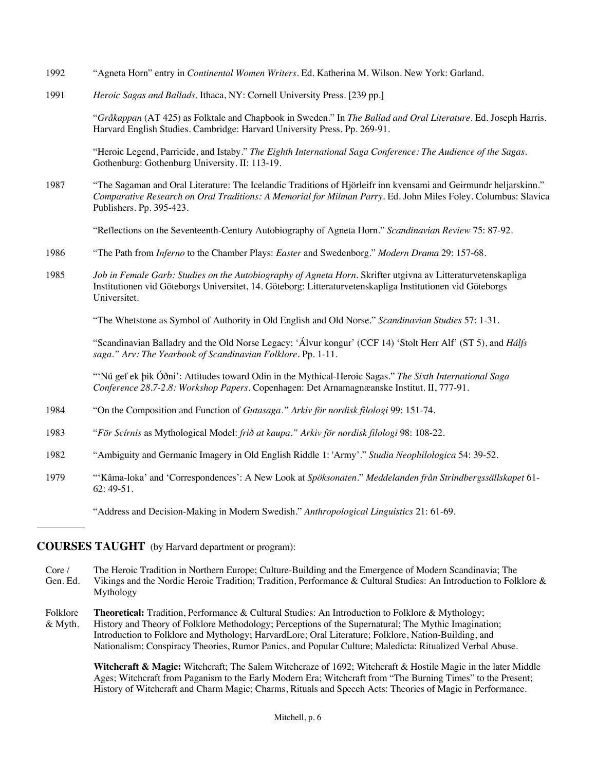- 1992 "Agneta Horn" entry in *Continental Women Writers.* Ed. Katherina M. Wilson. New York: Garland.
- 1991 *Heroic Sagas and Ballads.* Ithaca, NY: Cornell University Press. [239 pp.]

"*Gråkappan* (AT 425) as Folktale and Chapbook in Sweden." In *The Ballad and Oral Literature.* Ed. Joseph Harris. Harvard English Studies. Cambridge: Harvard University Press. Pp. 269-91.

"Heroic Legend, Parricide, and Istaby." *The Eighth International Saga Conference: The Audience of the Sagas.*  Gothenburg: Gothenburg University. II: 113-19.

1987 "The Sagaman and Oral Literature: The Icelandic Traditions of Hjörleifr inn kvensami and Geirmundr heljarskinn." *Comparative Research on Oral Traditions: A Memorial for Milman Parry.* Ed. John Miles Foley. Columbus: Slavica Publishers. Pp. 395-423.

"Reflections on the Seventeenth-Century Autobiography of Agneta Horn." *Scandinavian Review* 75: 87-92.

- 1986 "The Path from *Inferno* to the Chamber Plays: *Easter* and Swedenborg." *Modern Drama* 29: 157-68.
- 1985 *Job in Female Garb: Studies on the Autobiography of Agneta Horn.* Skrifter utgivna av Litteraturvetenskapliga Institutionen vid Göteborgs Universitet, 14. Göteborg: Litteraturvetenskapliga Institutionen vid Göteborgs Universitet.

"The Whetstone as Symbol of Authority in Old English and Old Norse." *Scandinavian Studies* 57: 1-31.

"Scandinavian Balladry and the Old Norse Legacy: 'Álvur kongur' (CCF 14) 'Stolt Herr Alf' (ST 5), and *Hálfs saga." Arv: The Yearbook of Scandinavian Folklore.* Pp. 1-11.

"'Nú gef ek þik Óðni': Attitudes toward Odin in the Mythical-Heroic Sagas." *The Sixth International Saga Conference 28.7-2.8: Workshop Papers*. Copenhagen: Det Arnamagnæanske Institut. II, 777-91.

- 1984 "On the Composition and Function of *Gutasaga." Arkiv för nordisk filologi* 99: 151-74.
- 1983 "*För Scírnis* as Mythological Model: *frið at kaupa." Arkiv för nordisk filologi* 98: 108-22.
- 1982 "Ambiguity and Germanic Imagery in Old English Riddle 1: 'Army'." *Studia Neophilologica* 54: 39-52.
- 1979 "'Kâma-loka' and 'Correspondences': A New Look at *Spöksonaten*." *Meddelanden från Strindbergssällskapet* 61- 62: 49-51.

"Address and Decision-Making in Modern Swedish." *Anthropological Linguistics* 21: 61-69.

#### **COURSES TAUGHT** (by Harvard department or program):

- Core / The Heroic Tradition in Northern Europe; Culture-Building and the Emergence of Modern Scandinavia; The Gen. Ed. Vikings and the Nordic Heroic Tradition; Tradition, Performance & Cultural Studies: An Introduction to Folklore & Mythology
- Folklore **Theoretical:** Tradition, Performance & Cultural Studies: An Introduction to Folklore & Mythology; & Myth. History and Theory of Folklore Methodology; Perceptions of the Supernatural; The Mythic Imagination; Introduction to Folklore and Mythology; HarvardLore; Oral Literature; Folklore, Nation-Building, and Nationalism; Conspiracy Theories, Rumor Panics, and Popular Culture; Maledicta: Ritualized Verbal Abuse.

Witchcraft & Magic: Witchcraft; The Salem Witchcraze of 1692; Witchcraft & Hostile Magic in the later Middle Ages; Witchcraft from Paganism to the Early Modern Era; Witchcraft from "The Burning Times" to the Present; History of Witchcraft and Charm Magic; Charms, Rituals and Speech Acts: Theories of Magic in Performance.